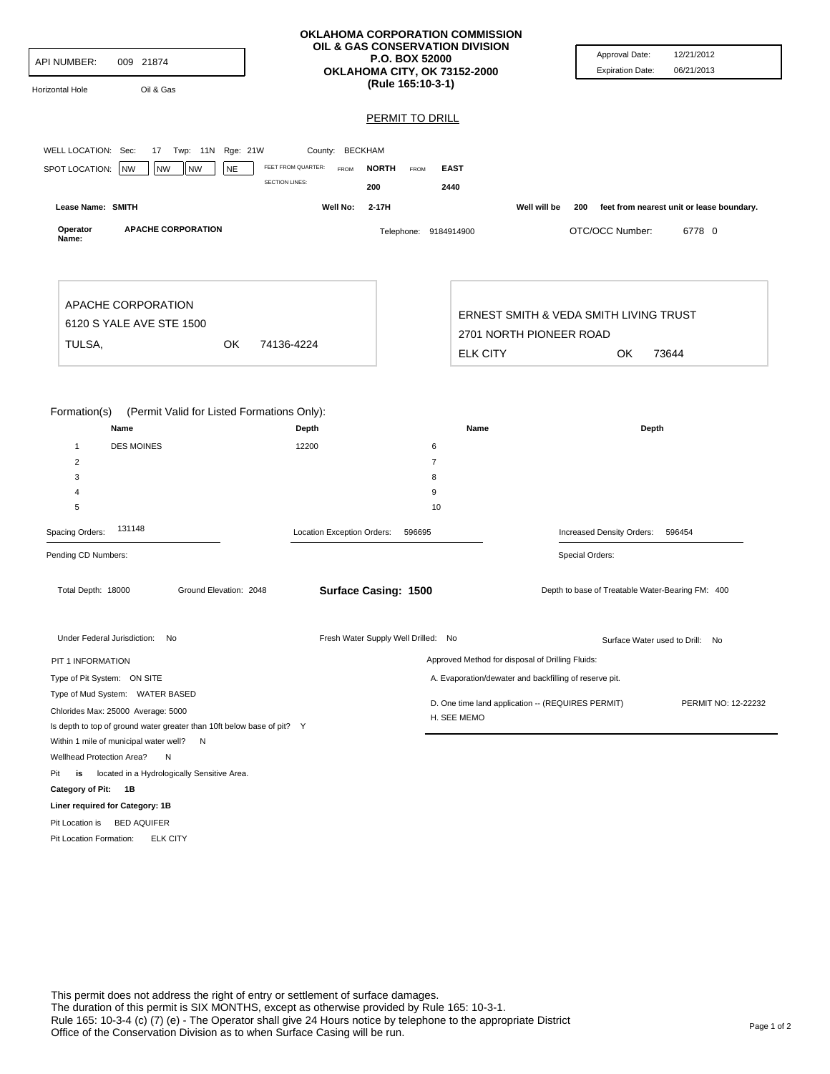|                                                                            |                                       | OKLAHOMA CORPORATION COMMISSION<br>OIL & GAS CONSERVATION DIVISION |                                                                  |                                                  | Approval Date:<br>12/21/2012              |  |
|----------------------------------------------------------------------------|---------------------------------------|--------------------------------------------------------------------|------------------------------------------------------------------|--------------------------------------------------|-------------------------------------------|--|
| API NUMBER:<br>009 21874                                                   |                                       | <b>P.O. BOX 52000</b><br>OKLAHOMA CITY, OK 73152-2000              |                                                                  | <b>Expiration Date:</b>                          | 06/21/2013                                |  |
| Oil & Gas<br>Horizontal Hole                                               |                                       | (Rule 165:10-3-1)                                                  |                                                                  |                                                  |                                           |  |
|                                                                            |                                       | <b>PERMIT TO DRILL</b>                                             |                                                                  |                                                  |                                           |  |
|                                                                            |                                       |                                                                    |                                                                  |                                                  |                                           |  |
| WELL LOCATION: Sec:<br>17 Twp: 11N Rge: 21W                                | County: BECKHAM<br>FEET FROM QUARTER: |                                                                    |                                                                  |                                                  |                                           |  |
| SPOT LOCATION:<br>NW<br><b>NW</b><br><b>NW</b><br><b>NE</b>                | <b>FROM</b><br><b>SECTION LINES:</b>  | <b>NORTH</b><br><b>EAST</b><br>FROM                                |                                                                  |                                                  |                                           |  |
| Lease Name: SMITH                                                          | Well No:                              | 200<br>2440<br>$2-17H$                                             | Well will be                                                     |                                                  |                                           |  |
|                                                                            |                                       |                                                                    |                                                                  | 200                                              | feet from nearest unit or lease boundary. |  |
| <b>APACHE CORPORATION</b><br>Operator<br>Name:                             |                                       | Telephone: 9184914900                                              |                                                                  | OTC/OCC Number:                                  | 6778 0                                    |  |
|                                                                            |                                       |                                                                    |                                                                  |                                                  |                                           |  |
| APACHE CORPORATION                                                         |                                       |                                                                    |                                                                  | ERNEST SMITH & VEDA SMITH LIVING TRUST           |                                           |  |
| 6120 S YALE AVE STE 1500                                                   |                                       | 2701 NORTH PIONEER ROAD                                            |                                                                  |                                                  |                                           |  |
| TULSA,<br>OK<br>74136-4224                                                 |                                       |                                                                    | <b>ELK CITY</b>                                                  | OK                                               | 73644                                     |  |
|                                                                            |                                       |                                                                    |                                                                  |                                                  |                                           |  |
| Name<br><b>DES MOINES</b><br>$\mathbf{1}$<br>$\overline{2}$<br>3<br>4<br>5 | Depth<br>12200                        | 6<br>$\overline{7}$<br>8<br>9                                      | Name                                                             | Depth                                            |                                           |  |
| 131148<br>Spacing Orders:                                                  | Location Exception Orders:            | 10<br>596695                                                       |                                                                  | Increased Density Orders:                        | 596454                                    |  |
|                                                                            |                                       |                                                                    |                                                                  |                                                  |                                           |  |
| Pending CD Numbers:                                                        |                                       |                                                                    |                                                                  | Special Orders:                                  |                                           |  |
| Ground Elevation: 2048<br>Total Depth: 18000                               |                                       | Surface Casing: 1500                                               |                                                                  | Depth to base of Treatable Water-Bearing FM: 400 |                                           |  |
| Under Federal Jurisdiction: No                                             |                                       | Fresh Water Supply Well Drilled: No                                |                                                                  |                                                  | Surface Water used to Drill: No           |  |
| PIT 1 INFORMATION                                                          |                                       |                                                                    | Approved Method for disposal of Drilling Fluids:                 |                                                  |                                           |  |
| Type of Pit System: ON SITE                                                |                                       |                                                                    | A. Evaporation/dewater and backfilling of reserve pit.           |                                                  |                                           |  |
| Type of Mud System: WATER BASED                                            |                                       |                                                                    |                                                                  |                                                  | PERMIT NO: 12-22232                       |  |
| Chlorides Max: 25000 Average: 5000                                         |                                       |                                                                    | D. One time land application -- (REQUIRES PERMIT)<br>H. SEE MEMO |                                                  |                                           |  |
| Is depth to top of ground water greater than 10ft below base of pit? Y     |                                       |                                                                    |                                                                  |                                                  |                                           |  |
| Within 1 mile of municipal water well? N<br>Wellhead Protection Area?      |                                       |                                                                    |                                                                  |                                                  |                                           |  |
| N<br>Pit<br>located in a Hydrologically Sensitive Area.<br>is              |                                       |                                                                    |                                                                  |                                                  |                                           |  |
| Category of Pit: 1B                                                        |                                       |                                                                    |                                                                  |                                                  |                                           |  |
| Liner required for Category: 1B                                            |                                       |                                                                    |                                                                  |                                                  |                                           |  |
| Pit Location is BED AQUIFER                                                |                                       |                                                                    |                                                                  |                                                  |                                           |  |
| Pit Location Formation:<br><b>ELK CITY</b>                                 |                                       |                                                                    |                                                                  |                                                  |                                           |  |
|                                                                            |                                       |                                                                    |                                                                  |                                                  |                                           |  |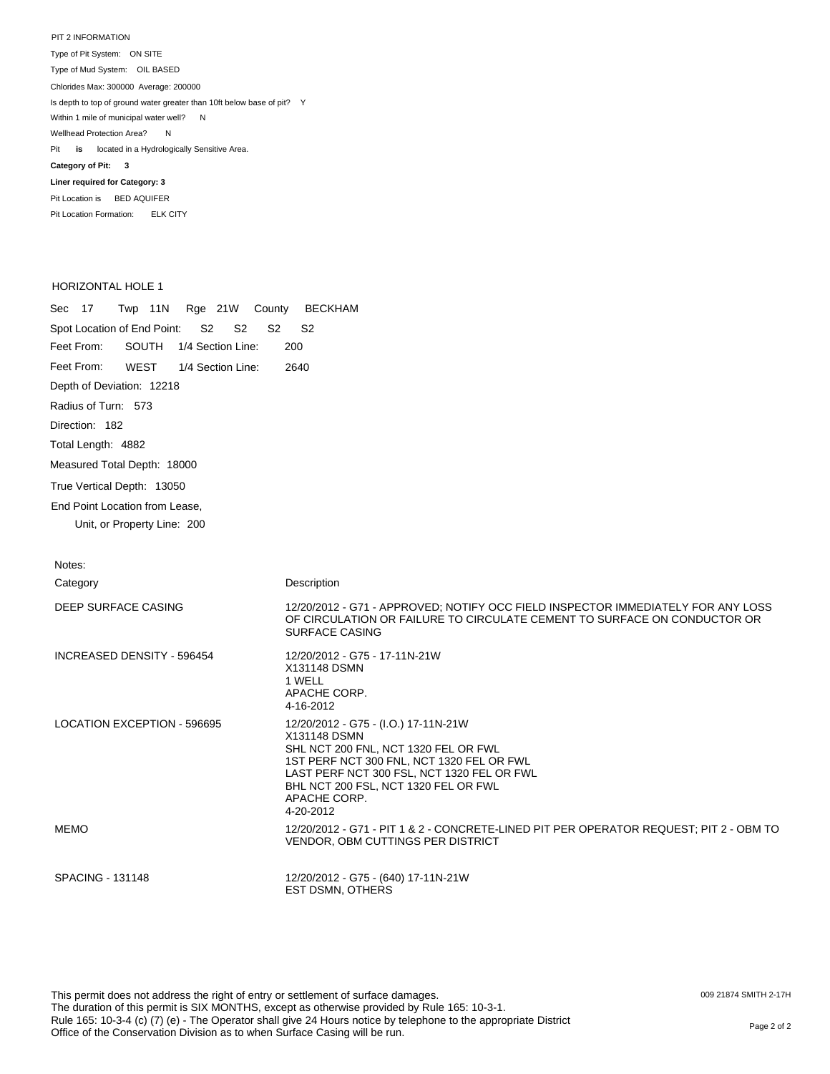PIT 2 INFORMATION Type of Pit System: ON SITE Type of Mud System: OIL BASED Pit **is** located in a Hydrologically Sensitive Area. **Category of Pit: 3 Liner required for Category: 3** Chlorides Max: 300000 Average: 200000 Is depth to top of ground water greater than 10ft below base of pit? Y Within 1 mile of municipal water well? N Wellhead Protection Area? N

Pit Location is BED AQUIFER Pit Location Formation: ELK CITY

## HORIZONTAL HOLE 1

| Sec 17<br>Twp 11N<br>Rge 21W County                 | <b>BECKHAM</b>                                                                                                                                                                                                                                               |
|-----------------------------------------------------|--------------------------------------------------------------------------------------------------------------------------------------------------------------------------------------------------------------------------------------------------------------|
| Spot Location of End Point:<br>S2<br>S <sub>2</sub> | S <sub>2</sub><br>S2                                                                                                                                                                                                                                         |
| Feet From:<br>SOUTH<br>1/4 Section Line:            | 200                                                                                                                                                                                                                                                          |
| Feet From:<br><b>WEST</b><br>1/4 Section Line:      | 2640                                                                                                                                                                                                                                                         |
| Depth of Deviation: 12218                           |                                                                                                                                                                                                                                                              |
| Radius of Turn: 573                                 |                                                                                                                                                                                                                                                              |
| Direction: 182                                      |                                                                                                                                                                                                                                                              |
| Total Length: 4882                                  |                                                                                                                                                                                                                                                              |
| Measured Total Depth: 18000                         |                                                                                                                                                                                                                                                              |
| True Vertical Depth: 13050                          |                                                                                                                                                                                                                                                              |
| End Point Location from Lease,                      |                                                                                                                                                                                                                                                              |
| Unit, or Property Line: 200                         |                                                                                                                                                                                                                                                              |
| Notes:                                              |                                                                                                                                                                                                                                                              |
| Category                                            | Description                                                                                                                                                                                                                                                  |
| DEEP SURFACE CASING                                 | 12/20/2012 - G71 - APPROVED; NOTIFY OCC FIELD INSPECTOR IMMEDIATELY FOR ANY LOSS<br>OF CIRCULATION OR FAILURE TO CIRCULATE CEMENT TO SURFACE ON CONDUCTOR OR<br><b>SURFACE CASING</b>                                                                        |
| INCREASED DENSITY - 596454                          | 12/20/2012 - G75 - 17-11N-21W<br>X131148 DSMN<br>1 WELL<br>APACHE CORP.<br>4-16-2012                                                                                                                                                                         |
| <b>LOCATION EXCEPTION - 596695</b>                  | 12/20/2012 - G75 - (I.O.) 17-11N-21W<br>X131148 DSMN<br>SHL NCT 200 FNL, NCT 1320 FEL OR FWL<br>1ST PERF NCT 300 FNL, NCT 1320 FEL OR FWL<br>LAST PERF NCT 300 FSL, NCT 1320 FEL OR FWL<br>BHL NCT 200 FSL, NCT 1320 FEL OR FWL<br>APACHE CORP.<br>4-20-2012 |
| <b>MEMO</b>                                         | 12/20/2012 - G71 - PIT 1 & 2 - CONCRETE-LINED PIT PER OPERATOR REQUEST; PIT 2 - OBM TO<br>VENDOR, OBM CUTTINGS PER DISTRICT                                                                                                                                  |
| <b>SPACING - 131148</b>                             | 12/20/2012 - G75 - (640) 17-11N-21W<br>EST DSMN, OTHERS                                                                                                                                                                                                      |

This permit does not address the right of entry or settlement of surface damages. The duration of this permit is SIX MONTHS, except as otherwise provided by Rule 165: 10-3-1. Rule 165: 10-3-4 (c) (7) (e) - The Operator shall give 24 Hours notice by telephone to the appropriate District Nue 100. 10-3-4 (C) (T) (e) - The Operator shall give 24 Hours holde by deleptione to the appropriate District<br>Office of the Conservation Division as to when Surface Casing will be run.